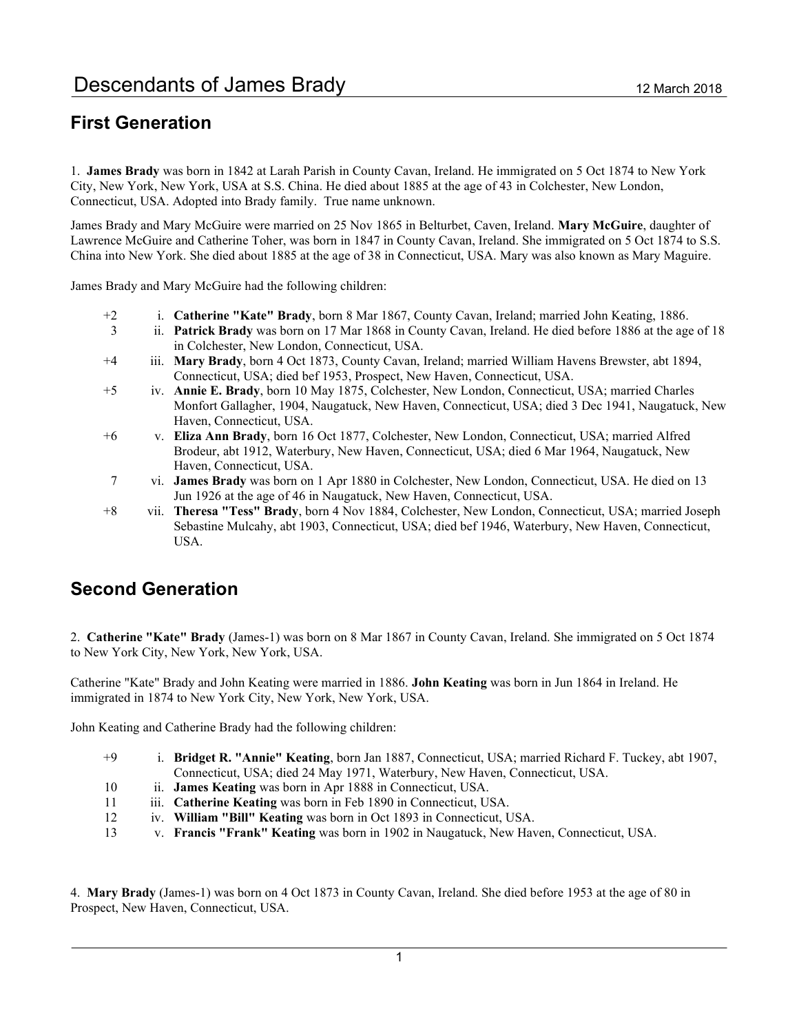#### First Generation

1. James Brady was born in 1842 at Larah Parish in County Cavan, Ireland. He immigrated on 5 Oct 1874 to New York City, New York, New York, USA at S.S. China. He died about 1885 at the age of 43 in Colchester, New London, Connecticut, USA. Adopted into Brady family. True name unknown.

James Brady and Mary McGuire were married on 25 Nov 1865 in Belturbet, Caven, Ireland. Mary McGuire, daughter of Lawrence McGuire and Catherine Toher, was born in 1847 in County Cavan, Ireland. She immigrated on 5 Oct 1874 to S.S. China into New York. She died about 1885 at the age of 38 in Connecticut, USA. Mary was also known as Mary Maguire.

James Brady and Mary McGuire had the following children:

- +2 i. Catherine "Kate" Brady, born 8 Mar 1867, County Cavan, Ireland; married John Keating, 1886.
- 3 ii. Patrick Brady was born on 17 Mar 1868 in County Cavan, Ireland. He died before 1886 at the age of 18 in Colchester, New London, Connecticut, USA.
- +4 iii. Mary Brady, born 4 Oct 1873, County Cavan, Ireland; married William Havens Brewster, abt 1894, Connecticut, USA; died bef 1953, Prospect, New Haven, Connecticut, USA.
- +5 iv. Annie E. Brady, born 10 May 1875, Colchester, New London, Connecticut, USA; married Charles Monfort Gallagher, 1904, Naugatuck, New Haven, Connecticut, USA; died 3 Dec 1941, Naugatuck, New Haven, Connecticut, USA.
- +6 v. Eliza Ann Brady, born 16 Oct 1877, Colchester, New London, Connecticut, USA; married Alfred Brodeur, abt 1912, Waterbury, New Haven, Connecticut, USA; died 6 Mar 1964, Naugatuck, New Haven, Connecticut, USA.
- 7 vi. James Brady was born on 1 Apr 1880 in Colchester, New London, Connecticut, USA. He died on 13 Jun 1926 at the age of 46 in Naugatuck, New Haven, Connecticut, USA.
- +8 vii. Theresa "Tess" Brady, born 4 Nov 1884, Colchester, New London, Connecticut, USA; married Joseph Sebastine Mulcahy, abt 1903, Connecticut, USA; died bef 1946, Waterbury, New Haven, Connecticut, USA.

#### Second Generation

2. Catherine "Kate" Brady (James-1) was born on 8 Mar 1867 in County Cavan, Ireland. She immigrated on 5 Oct 1874 to New York City, New York, New York, USA.

Catherine "Kate" Brady and John Keating were married in 1886. John Keating was born in Jun 1864 in Ireland. He immigrated in 1874 to New York City, New York, New York, USA.

John Keating and Catherine Brady had the following children:

- +9 i. Bridget R. "Annie" Keating, born Jan 1887, Connecticut, USA; married Richard F. Tuckey, abt 1907, Connecticut, USA; died 24 May 1971, Waterbury, New Haven, Connecticut, USA.
- 10 ii. James Keating was born in Apr 1888 in Connecticut, USA.
- 11 iii. Catherine Keating was born in Feb 1890 in Connecticut, USA.
- 12 iv. William "Bill" Keating was born in Oct 1893 in Connecticut, USA.
- 13 v. Francis "Frank" Keating was born in 1902 in Naugatuck, New Haven, Connecticut, USA.

4. Mary Brady (James-1) was born on 4 Oct 1873 in County Cavan, Ireland. She died before 1953 at the age of 80 in Prospect, New Haven, Connecticut, USA.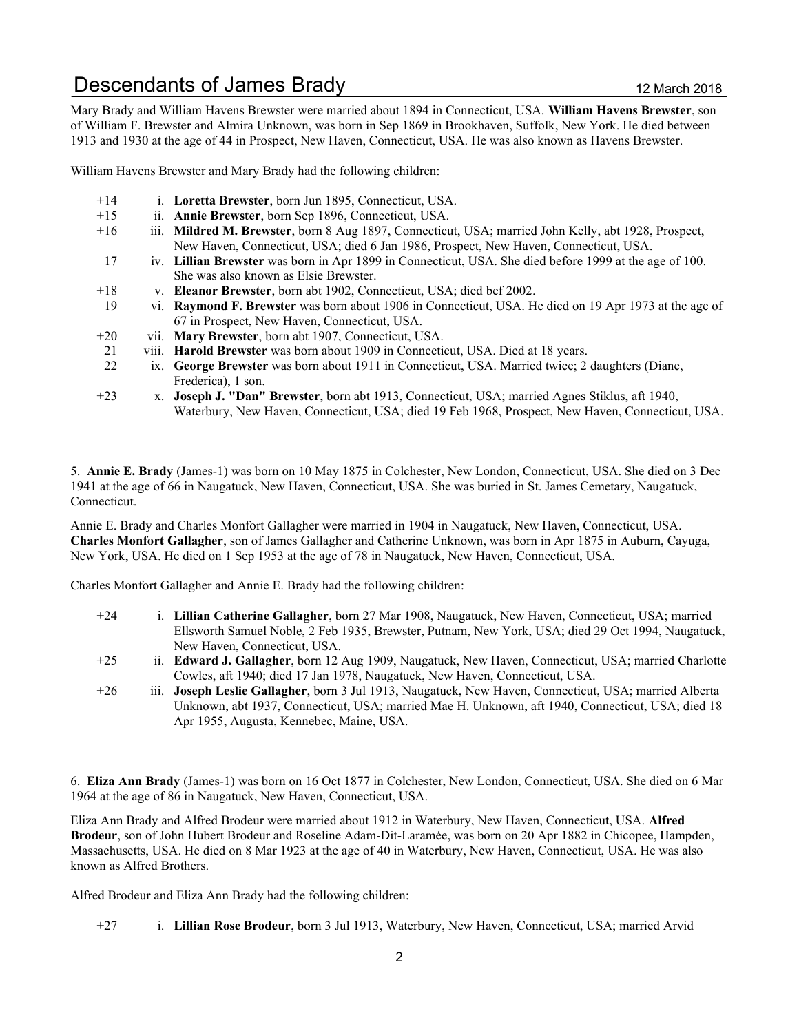Mary Brady and William Havens Brewster were married about 1894 in Connecticut, USA. William Havens Brewster, son of William F. Brewster and Almira Unknown, was born in Sep 1869 in Brookhaven, Suffolk, New York. He died between 1913 and 1930 at the age of 44 in Prospect, New Haven, Connecticut, USA. He was also known as Havens Brewster.

William Havens Brewster and Mary Brady had the following children:

- +14 i. Loretta Brewster, born Jun 1895, Connecticut, USA.<br>+15 ii. Annie Brewster, born Sep 1896, Connecticut, USA.
- ii. Annie Brewster, born Sep 1896, Connecticut, USA.
- +16 iii. Mildred M. Brewster, born 8 Aug 1897, Connecticut, USA; married John Kelly, abt 1928, Prospect, New Haven, Connecticut, USA; died 6 Jan 1986, Prospect, New Haven, Connecticut, USA.
- 17 iv. Lillian Brewster was born in Apr 1899 in Connecticut, USA. She died before 1999 at the age of 100. She was also known as Elsie Brewster.
- +18 v. Eleanor Brewster, born abt 1902, Connecticut, USA; died bef 2002.
- 19 vi. Raymond F. Brewster was born about 1906 in Connecticut, USA. He died on 19 Apr 1973 at the age of 67 in Prospect, New Haven, Connecticut, USA.
- +20 vii. Mary Brewster, born abt 1907, Connecticut, USA.
- 21 viii. Harold Brewster was born about 1909 in Connecticut, USA. Died at 18 years.
- 22 ix. George Brewster was born about 1911 in Connecticut, USA. Married twice; 2 daughters (Diane, Frederica), 1 son.
- +23 x. Joseph J. "Dan" Brewster, born abt 1913, Connecticut, USA; married Agnes Stiklus, aft 1940, Waterbury, New Haven, Connecticut, USA; died 19 Feb 1968, Prospect, New Haven, Connecticut, USA.

5. Annie E. Brady (James-1) was born on 10 May 1875 in Colchester, New London, Connecticut, USA. She died on 3 Dec 1941 at the age of 66 in Naugatuck, New Haven, Connecticut, USA. She was buried in St. James Cemetary, Naugatuck, Connecticut.

Annie E. Brady and Charles Monfort Gallagher were married in 1904 in Naugatuck, New Haven, Connecticut, USA. Charles Monfort Gallagher, son of James Gallagher and Catherine Unknown, was born in Apr 1875 in Auburn, Cayuga, New York, USA. He died on 1 Sep 1953 at the age of 78 in Naugatuck, New Haven, Connecticut, USA.

Charles Monfort Gallagher and Annie E. Brady had the following children:

- +24 i. Lillian Catherine Gallagher, born 27 Mar 1908, Naugatuck, New Haven, Connecticut, USA; married Ellsworth Samuel Noble, 2 Feb 1935, Brewster, Putnam, New York, USA; died 29 Oct 1994, Naugatuck, New Haven, Connecticut, USA.
- +25 ii. Edward J. Gallagher, born 12 Aug 1909, Naugatuck, New Haven, Connecticut, USA; married Charlotte Cowles, aft 1940; died 17 Jan 1978, Naugatuck, New Haven, Connecticut, USA.
- +26 iii. Joseph Leslie Gallagher, born 3 Jul 1913, Naugatuck, New Haven, Connecticut, USA; married Alberta Unknown, abt 1937, Connecticut, USA; married Mae H. Unknown, aft 1940, Connecticut, USA; died 18 Apr 1955, Augusta, Kennebec, Maine, USA.

6. Eliza Ann Brady (James-1) was born on 16 Oct 1877 in Colchester, New London, Connecticut, USA. She died on 6 Mar 1964 at the age of 86 in Naugatuck, New Haven, Connecticut, USA.

Eliza Ann Brady and Alfred Brodeur were married about 1912 in Waterbury, New Haven, Connecticut, USA. Alfred Brodeur, son of John Hubert Brodeur and Roseline Adam-Dit-Laramée, was born on 20 Apr 1882 in Chicopee, Hampden, Massachusetts, USA. He died on 8 Mar 1923 at the age of 40 in Waterbury, New Haven, Connecticut, USA. He was also known as Alfred Brothers.

Alfred Brodeur and Eliza Ann Brady had the following children:

+27 i. Lillian Rose Brodeur, born 3 Jul 1913, Waterbury, New Haven, Connecticut, USA; married Arvid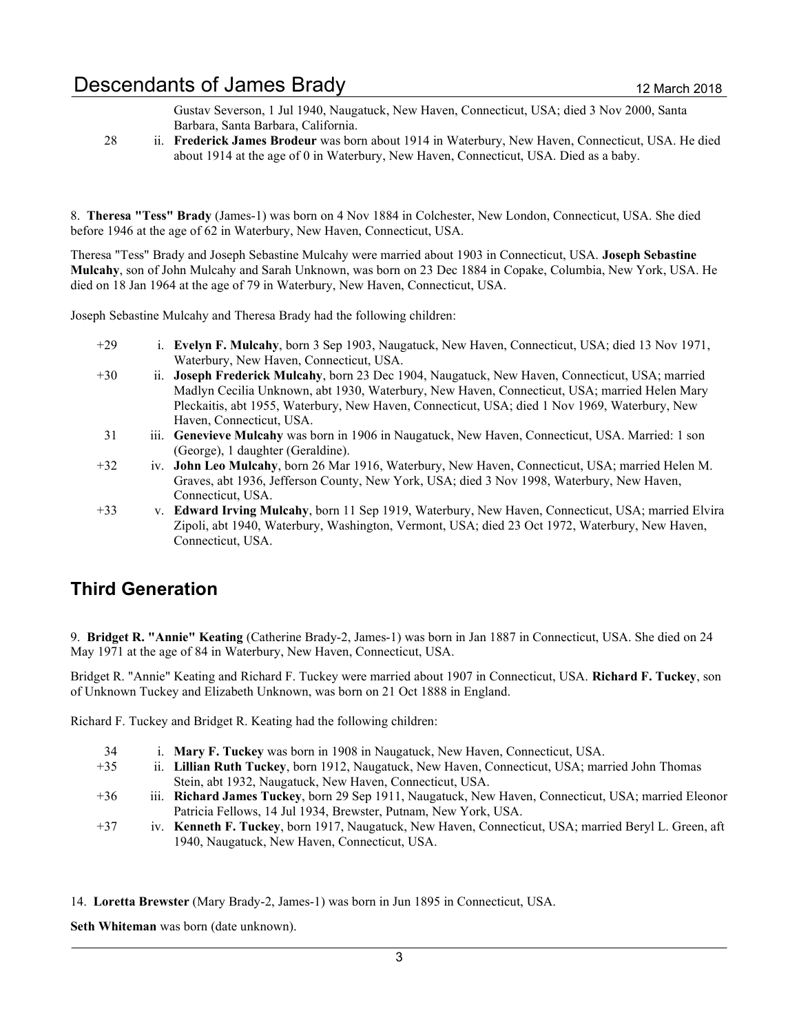Gustav Severson, 1 Jul 1940, Naugatuck, New Haven, Connecticut, USA; died 3 Nov 2000, Santa Barbara, Santa Barbara, California.

28 ii. Frederick James Brodeur was born about 1914 in Waterbury, New Haven, Connecticut, USA. He died about 1914 at the age of 0 in Waterbury, New Haven, Connecticut, USA. Died as a baby.

8. Theresa "Tess" Brady (James-1) was born on 4 Nov 1884 in Colchester, New London, Connecticut, USA. She died before 1946 at the age of 62 in Waterbury, New Haven, Connecticut, USA.

Theresa "Tess" Brady and Joseph Sebastine Mulcahy were married about 1903 in Connecticut, USA. Joseph Sebastine Mulcahy, son of John Mulcahy and Sarah Unknown, was born on 23 Dec 1884 in Copake, Columbia, New York, USA. He died on 18 Jan 1964 at the age of 79 in Waterbury, New Haven, Connecticut, USA.

Joseph Sebastine Mulcahy and Theresa Brady had the following children:

- +29 i. Evelyn F. Mulcahy, born 3 Sep 1903, Naugatuck, New Haven, Connecticut, USA; died 13 Nov 1971, Waterbury, New Haven, Connecticut, USA.
- +30 ii. Joseph Frederick Mulcahy, born 23 Dec 1904, Naugatuck, New Haven, Connecticut, USA; married Madlyn Cecilia Unknown, abt 1930, Waterbury, New Haven, Connecticut, USA; married Helen Mary Pleckaitis, abt 1955, Waterbury, New Haven, Connecticut, USA; died 1 Nov 1969, Waterbury, New Haven, Connecticut, USA.
- 31 iii. Genevieve Mulcahy was born in 1906 in Naugatuck, New Haven, Connecticut, USA. Married: 1 son (George), 1 daughter (Geraldine).
- +32 iv. John Leo Mulcahy, born 26 Mar 1916, Waterbury, New Haven, Connecticut, USA; married Helen M. Graves, abt 1936, Jefferson County, New York, USA; died 3 Nov 1998, Waterbury, New Haven, Connecticut, USA.
- +33 v. Edward Irving Mulcahy, born 11 Sep 1919, Waterbury, New Haven, Connecticut, USA; married Elvira Zipoli, abt 1940, Waterbury, Washington, Vermont, USA; died 23 Oct 1972, Waterbury, New Haven, Connecticut, USA.

#### Third Generation

9. Bridget R. "Annie" Keating (Catherine Brady-2, James-1) was born in Jan 1887 in Connecticut, USA. She died on 24 May 1971 at the age of 84 in Waterbury, New Haven, Connecticut, USA.

Bridget R. "Annie" Keating and Richard F. Tuckey were married about 1907 in Connecticut, USA. Richard F. Tuckey, son of Unknown Tuckey and Elizabeth Unknown, was born on 21 Oct 1888 in England.

Richard F. Tuckey and Bridget R. Keating had the following children:

- 34 i. Mary F. Tuckey was born in 1908 in Naugatuck, New Haven, Connecticut, USA.<br>
<sup>+35</sup> ii. **Lillian Ruth Tuckey**, born 1912, Naugatuck, New Haven, Connecticut, USA: mar
	- ii. Lillian Ruth Tuckey, born 1912, Naugatuck, New Haven, Connecticut, USA; married John Thomas Stein, abt 1932, Naugatuck, New Haven, Connecticut, USA.
- +36 iii. Richard James Tuckey, born 29 Sep 1911, Naugatuck, New Haven, Connecticut, USA; married Eleonor Patricia Fellows, 14 Jul 1934, Brewster, Putnam, New York, USA.
- +37 iv. Kenneth F. Tuckey, born 1917, Naugatuck, New Haven, Connecticut, USA; married Beryl L. Green, aft 1940, Naugatuck, New Haven, Connecticut, USA.
- 14. Loretta Brewster (Mary Brady-2, James-1) was born in Jun 1895 in Connecticut, USA.

Seth Whiteman was born (date unknown).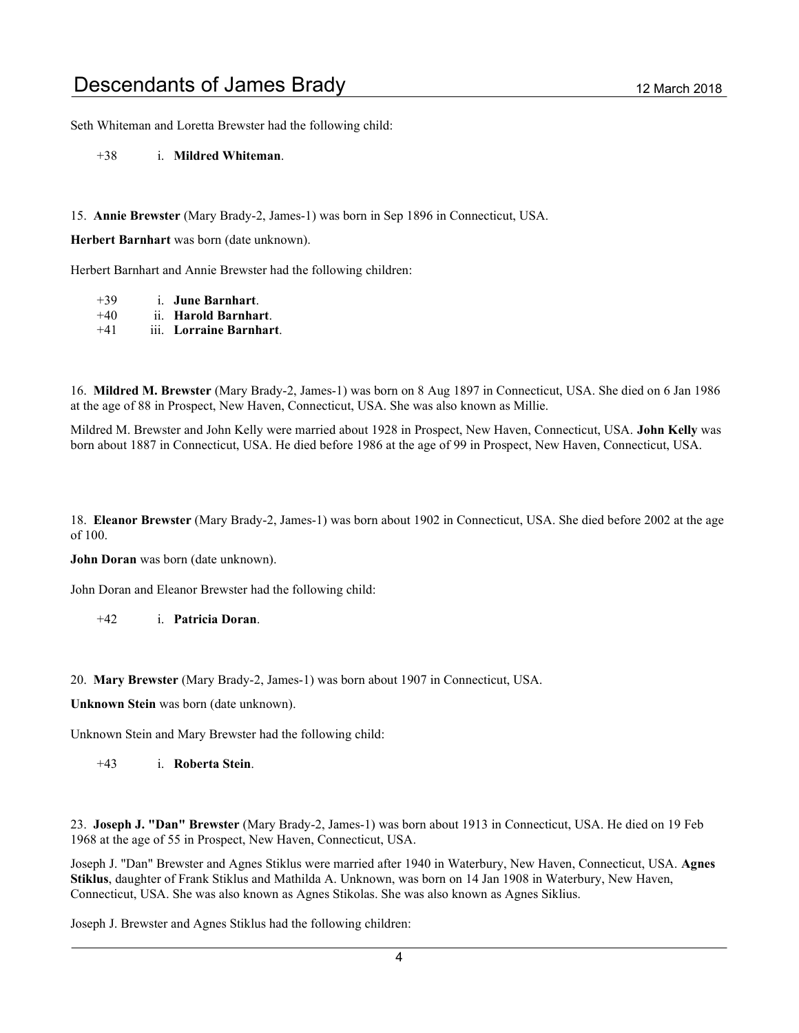Seth Whiteman and Loretta Brewster had the following child:

+38 i. Mildred Whiteman.

15. Annie Brewster (Mary Brady-2, James-1) was born in Sep 1896 in Connecticut, USA.

Herbert Barnhart was born (date unknown).

Herbert Barnhart and Annie Brewster had the following children:

+39 i. June Barnhart.

+40 ii. Harold Barnhart.

+41 iii. Lorraine Barnhart.

16. Mildred M. Brewster (Mary Brady-2, James-1) was born on 8 Aug 1897 in Connecticut, USA. She died on 6 Jan 1986 at the age of 88 in Prospect, New Haven, Connecticut, USA. She was also known as Millie.

Mildred M. Brewster and John Kelly were married about 1928 in Prospect, New Haven, Connecticut, USA. John Kelly was born about 1887 in Connecticut, USA. He died before 1986 at the age of 99 in Prospect, New Haven, Connecticut, USA.

18. Eleanor Brewster (Mary Brady-2, James-1) was born about 1902 in Connecticut, USA. She died before 2002 at the age of 100.

John Doran was born (date unknown).

John Doran and Eleanor Brewster had the following child:

+42 i. Patricia Doran.

20. Mary Brewster (Mary Brady-2, James-1) was born about 1907 in Connecticut, USA.

Unknown Stein was born (date unknown).

Unknown Stein and Mary Brewster had the following child:

+43 i. Roberta Stein.

23. Joseph J. "Dan" Brewster (Mary Brady-2, James-1) was born about 1913 in Connecticut, USA. He died on 19 Feb 1968 at the age of 55 in Prospect, New Haven, Connecticut, USA.

Joseph J. "Dan" Brewster and Agnes Stiklus were married after 1940 in Waterbury, New Haven, Connecticut, USA. Agnes Stiklus, daughter of Frank Stiklus and Mathilda A. Unknown, was born on 14 Jan 1908 in Waterbury, New Haven, Connecticut, USA. She was also known as Agnes Stikolas. She was also known as Agnes Siklius.

Joseph J. Brewster and Agnes Stiklus had the following children: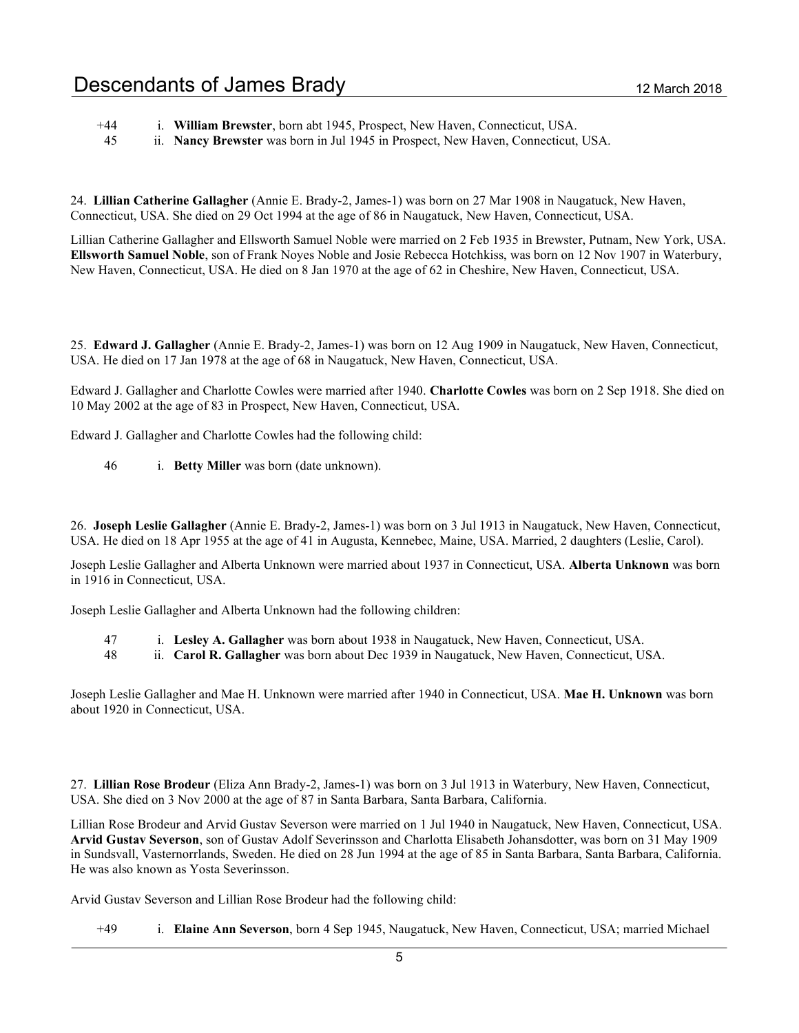+44 i. William Brewster, born abt 1945, Prospect, New Haven, Connecticut, USA.

45 ii. Nancy Brewster was born in Jul 1945 in Prospect, New Haven, Connecticut, USA.

24. Lillian Catherine Gallagher (Annie E. Brady-2, James-1) was born on 27 Mar 1908 in Naugatuck, New Haven, Connecticut, USA. She died on 29 Oct 1994 at the age of 86 in Naugatuck, New Haven, Connecticut, USA.

Lillian Catherine Gallagher and Ellsworth Samuel Noble were married on 2 Feb 1935 in Brewster, Putnam, New York, USA. Ellsworth Samuel Noble, son of Frank Noyes Noble and Josie Rebecca Hotchkiss, was born on 12 Nov 1907 in Waterbury, New Haven, Connecticut, USA. He died on 8 Jan 1970 at the age of 62 in Cheshire, New Haven, Connecticut, USA.

25. Edward J. Gallagher (Annie E. Brady-2, James-1) was born on 12 Aug 1909 in Naugatuck, New Haven, Connecticut, USA. He died on 17 Jan 1978 at the age of 68 in Naugatuck, New Haven, Connecticut, USA.

Edward J. Gallagher and Charlotte Cowles were married after 1940. Charlotte Cowles was born on 2 Sep 1918. She died on 10 May 2002 at the age of 83 in Prospect, New Haven, Connecticut, USA.

Edward J. Gallagher and Charlotte Cowles had the following child:

46 i. Betty Miller was born (date unknown).

26. Joseph Leslie Gallagher (Annie E. Brady-2, James-1) was born on 3 Jul 1913 in Naugatuck, New Haven, Connecticut, USA. He died on 18 Apr 1955 at the age of 41 in Augusta, Kennebec, Maine, USA. Married, 2 daughters (Leslie, Carol).

Joseph Leslie Gallagher and Alberta Unknown were married about 1937 in Connecticut, USA. Alberta Unknown was born in 1916 in Connecticut, USA.

Joseph Leslie Gallagher and Alberta Unknown had the following children:

- 47 i. Lesley A. Gallagher was born about 1938 in Naugatuck, New Haven, Connecticut, USA.
- 48 ii. Carol R. Gallagher was born about Dec 1939 in Naugatuck, New Haven, Connecticut, USA.

Joseph Leslie Gallagher and Mae H. Unknown were married after 1940 in Connecticut, USA. Mae H. Unknown was born about 1920 in Connecticut, USA.

27. Lillian Rose Brodeur (Eliza Ann Brady-2, James-1) was born on 3 Jul 1913 in Waterbury, New Haven, Connecticut, USA. She died on 3 Nov 2000 at the age of 87 in Santa Barbara, Santa Barbara, California.

Lillian Rose Brodeur and Arvid Gustav Severson were married on 1 Jul 1940 in Naugatuck, New Haven, Connecticut, USA. Arvid Gustav Severson, son of Gustav Adolf Severinsson and Charlotta Elisabeth Johansdotter, was born on 31 May 1909 in Sundsvall, Vasternorrlands, Sweden. He died on 28 Jun 1994 at the age of 85 in Santa Barbara, Santa Barbara, California. He was also known as Yosta Severinsson.

Arvid Gustav Severson and Lillian Rose Brodeur had the following child:

+49 i. Elaine Ann Severson, born 4 Sep 1945, Naugatuck, New Haven, Connecticut, USA; married Michael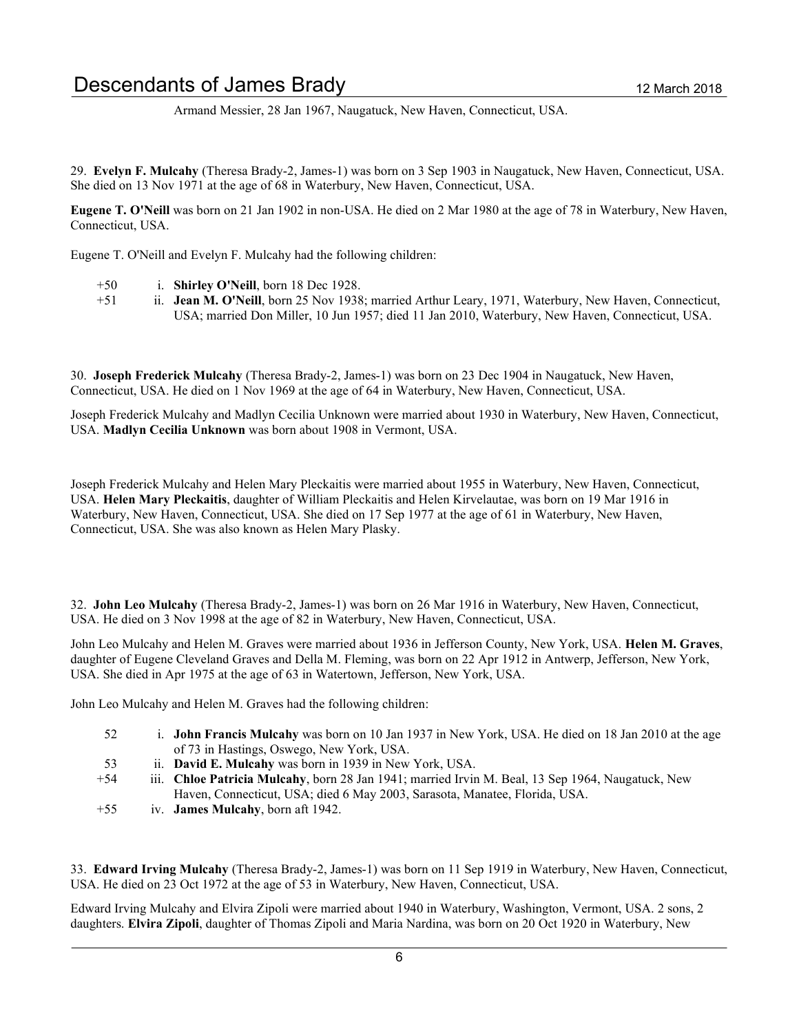Armand Messier, 28 Jan 1967, Naugatuck, New Haven, Connecticut, USA.

29. Evelyn F. Mulcahy (Theresa Brady-2, James-1) was born on 3 Sep 1903 in Naugatuck, New Haven, Connecticut, USA. She died on 13 Nov 1971 at the age of 68 in Waterbury, New Haven, Connecticut, USA.

Eugene T. O'Neill was born on 21 Jan 1902 in non-USA. He died on 2 Mar 1980 at the age of 78 in Waterbury, New Haven, Connecticut, USA.

Eugene T. O'Neill and Evelyn F. Mulcahy had the following children:

- +50 i. Shirley O'Neill, born 18 Dec 1928.
- +51 ii. Jean M. O'Neill, born 25 Nov 1938; married Arthur Leary, 1971, Waterbury, New Haven, Connecticut, USA; married Don Miller, 10 Jun 1957; died 11 Jan 2010, Waterbury, New Haven, Connecticut, USA.

30. Joseph Frederick Mulcahy (Theresa Brady-2, James-1) was born on 23 Dec 1904 in Naugatuck, New Haven, Connecticut, USA. He died on 1 Nov 1969 at the age of 64 in Waterbury, New Haven, Connecticut, USA.

Joseph Frederick Mulcahy and Madlyn Cecilia Unknown were married about 1930 in Waterbury, New Haven, Connecticut, USA. Madlyn Cecilia Unknown was born about 1908 in Vermont, USA.

Joseph Frederick Mulcahy and Helen Mary Pleckaitis were married about 1955 in Waterbury, New Haven, Connecticut, USA. Helen Mary Pleckaitis, daughter of William Pleckaitis and Helen Kirvelautae, was born on 19 Mar 1916 in Waterbury, New Haven, Connecticut, USA. She died on 17 Sep 1977 at the age of 61 in Waterbury, New Haven, Connecticut, USA. She was also known as Helen Mary Plasky.

32. John Leo Mulcahy (Theresa Brady-2, James-1) was born on 26 Mar 1916 in Waterbury, New Haven, Connecticut, USA. He died on 3 Nov 1998 at the age of 82 in Waterbury, New Haven, Connecticut, USA.

John Leo Mulcahy and Helen M. Graves were married about 1936 in Jefferson County, New York, USA. Helen M. Graves, daughter of Eugene Cleveland Graves and Della M. Fleming, was born on 22 Apr 1912 in Antwerp, Jefferson, New York, USA. She died in Apr 1975 at the age of 63 in Watertown, Jefferson, New York, USA.

John Leo Mulcahy and Helen M. Graves had the following children:

- 52 i. John Francis Mulcahy was born on 10 Jan 1937 in New York, USA. He died on 18 Jan 2010 at the age of 73 in Hastings, Oswego, New York, USA.
- 53 ii. David E. Mulcahy was born in 1939 in New York, USA.
- +54 iii. Chloe Patricia Mulcahy, born 28 Jan 1941; married Irvin M. Beal, 13 Sep 1964, Naugatuck, New Haven, Connecticut, USA; died 6 May 2003, Sarasota, Manatee, Florida, USA.
- +55 iv. James Mulcahy, born aft 1942.

33. Edward Irving Mulcahy (Theresa Brady-2, James-1) was born on 11 Sep 1919 in Waterbury, New Haven, Connecticut, USA. He died on 23 Oct 1972 at the age of 53 in Waterbury, New Haven, Connecticut, USA.

Edward Irving Mulcahy and Elvira Zipoli were married about 1940 in Waterbury, Washington, Vermont, USA. 2 sons, 2 daughters. Elvira Zipoli, daughter of Thomas Zipoli and Maria Nardina, was born on 20 Oct 1920 in Waterbury, New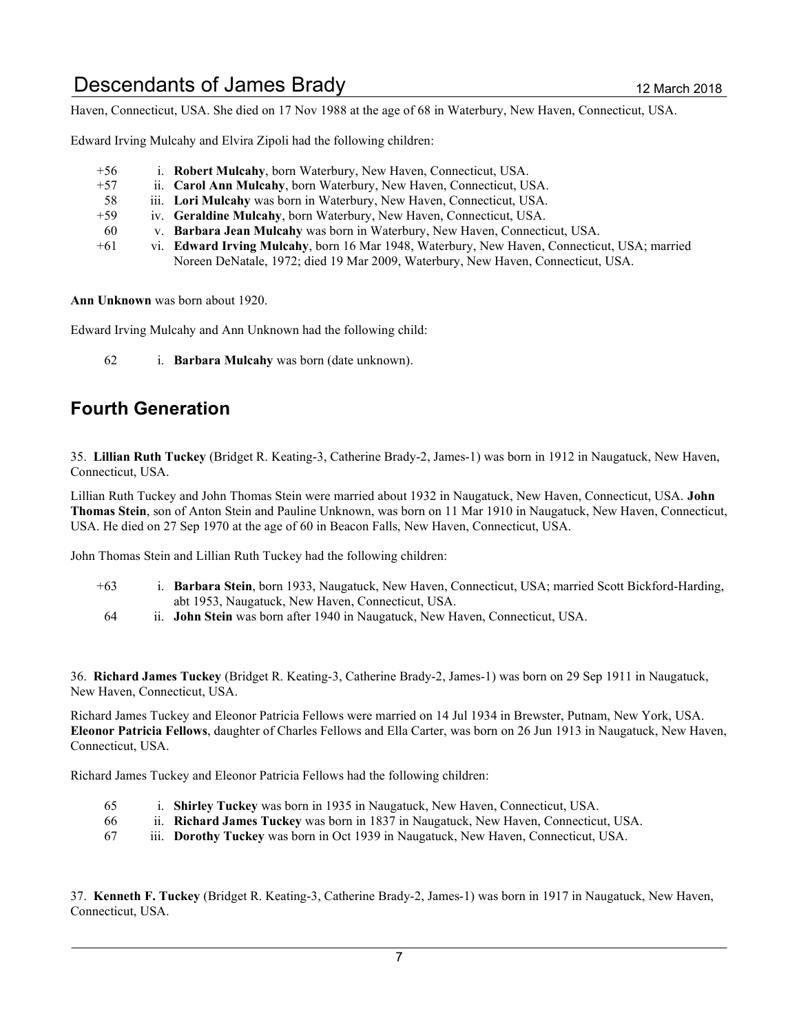Haven, Connecticut, USA. She died on 17 Nov 1988 at the age of 68 in Waterbury, New Haven, Connecticut, USA.

Edward Irving Mulcahy and Elvira Zipoli had the following children:

- +56 i. Robert Mulcahy, born Waterbury, New Haven, Connecticut, USA.
- +57 ii. Carol Ann Mulcahy, born Waterbury, New Haven, Connecticut, USA.
- 58 iii. Lori Mulcahy was born in Waterbury, New Haven, Connecticut, USA.
- +59 iv. Geraldine Mulcahy, born Waterbury, New Haven, Connecticut, USA.
- 60 v. Barbara Jean Mulcahy was born in Waterbury, New Haven, Connecticut, USA.
- +61 vi. Edward Irving Mulcahy, born 16 Mar 1948, Waterbury, New Haven, Connecticut, USA; married Noreen DeNatale, 1972; died 19 Mar 2009, Waterbury, New Haven, Connecticut, USA.

Ann Unknown was born about 1920.

Edward Irving Mulcahy and Ann Unknown had the following child:

62 i. Barbara Mulcahy was born (date unknown).

## Fourth Generation

35. Lillian Ruth Tuckey (Bridget R. Keating-3, Catherine Brady-2, James-1) was born in 1912 in Naugatuck, New Haven, Connecticut, USA.

Lillian Ruth Tuckey and John Thomas Stein were married about 1932 in Naugatuck, New Haven, Connecticut, USA. John Thomas Stein, son of Anton Stein and Pauline Unknown, was born on 11 Mar 1910 in Naugatuck, New Haven, Connecticut, USA. He died on 27 Sep 1970 at the age of 60 in Beacon Falls, New Haven, Connecticut, USA.

John Thomas Stein and Lillian Ruth Tuckey had the following children:

- +63 i. Barbara Stein, born 1933, Naugatuck, New Haven, Connecticut, USA; married Scott Bickford-Harding, abt 1953, Naugatuck, New Haven, Connecticut, USA.
- 64 ii. John Stein was born after 1940 in Naugatuck, New Haven, Connecticut, USA.

36. Richard James Tuckey (Bridget R. Keating-3, Catherine Brady-2, James-1) was born on 29 Sep 1911 in Naugatuck, New Haven, Connecticut, USA.

Richard James Tuckey and Eleonor Patricia Fellows were married on 14 Jul 1934 in Brewster, Putnam, New York, USA. Eleonor Patricia Fellows, daughter of Charles Fellows and Ella Carter, was born on 26 Jun 1913 in Naugatuck, New Haven, Connecticut, USA.

Richard James Tuckey and Eleonor Patricia Fellows had the following children:

- 65 i. Shirley Tuckey was born in 1935 in Naugatuck, New Haven, Connecticut, USA.
- 66 ii. Richard James Tuckey was born in 1837 in Naugatuck, New Haven, Connecticut, USA.
- 67 iii. Dorothy Tuckey was born in Oct 1939 in Naugatuck, New Haven, Connecticut, USA.

37. Kenneth F. Tuckey (Bridget R. Keating-3, Catherine Brady-2, James-1) was born in 1917 in Naugatuck, New Haven, Connecticut, USA.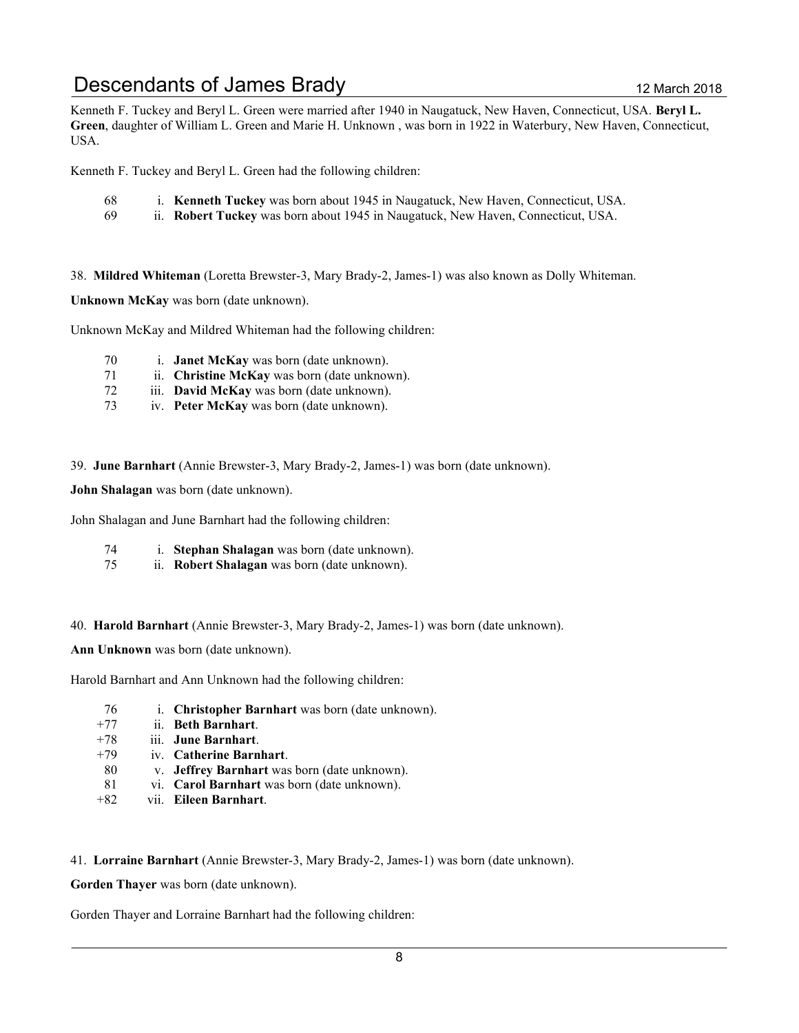Kenneth F. Tuckey and Beryl L. Green were married after 1940 in Naugatuck, New Haven, Connecticut, USA. Beryl L. Green, daughter of William L. Green and Marie H. Unknown , was born in 1922 in Waterbury, New Haven, Connecticut, USA.

Kenneth F. Tuckey and Beryl L. Green had the following children:

- 68 i. Kenneth Tuckey was born about 1945 in Naugatuck, New Haven, Connecticut, USA.
- ii. Robert Tuckey was born about 1945 in Naugatuck, New Haven, Connecticut, USA.

38. Mildred Whiteman (Loretta Brewster-3, Mary Brady-2, James-1) was also known as Dolly Whiteman.

Unknown McKay was born (date unknown).

Unknown McKay and Mildred Whiteman had the following children:

- 70 i. Janet McKay was born (date unknown).
- 71 ii. Christine McKay was born (date unknown).
- 72 iii. David McKay was born (date unknown).
- 73 iv. Peter McKay was born (date unknown).

39. June Barnhart (Annie Brewster-3, Mary Brady-2, James-1) was born (date unknown).

John Shalagan was born (date unknown).

John Shalagan and June Barnhart had the following children:

74 i. Stephan Shalagan was born (date unknown).

75 ii. Robert Shalagan was born (date unknown).

40. Harold Barnhart (Annie Brewster-3, Mary Brady-2, James-1) was born (date unknown).

Ann Unknown was born (date unknown).

Harold Barnhart and Ann Unknown had the following children:

- 76 i. Christopher Barnhart was born (date unknown).<br>+77 ii. Beth Barnhart.
- ii. Beth Barnhart.
- +78 iii. June Barnhart.
- +79 iv. Catherine Barnhart.
- 80 v. Jeffrey Barnhart was born (date unknown).
- 81 vi. Carol Barnhart was born (date unknown).
- +82 vii. Eileen Barnhart.

41. Lorraine Barnhart (Annie Brewster-3, Mary Brady-2, James-1) was born (date unknown).

Gorden Thayer was born (date unknown).

Gorden Thayer and Lorraine Barnhart had the following children: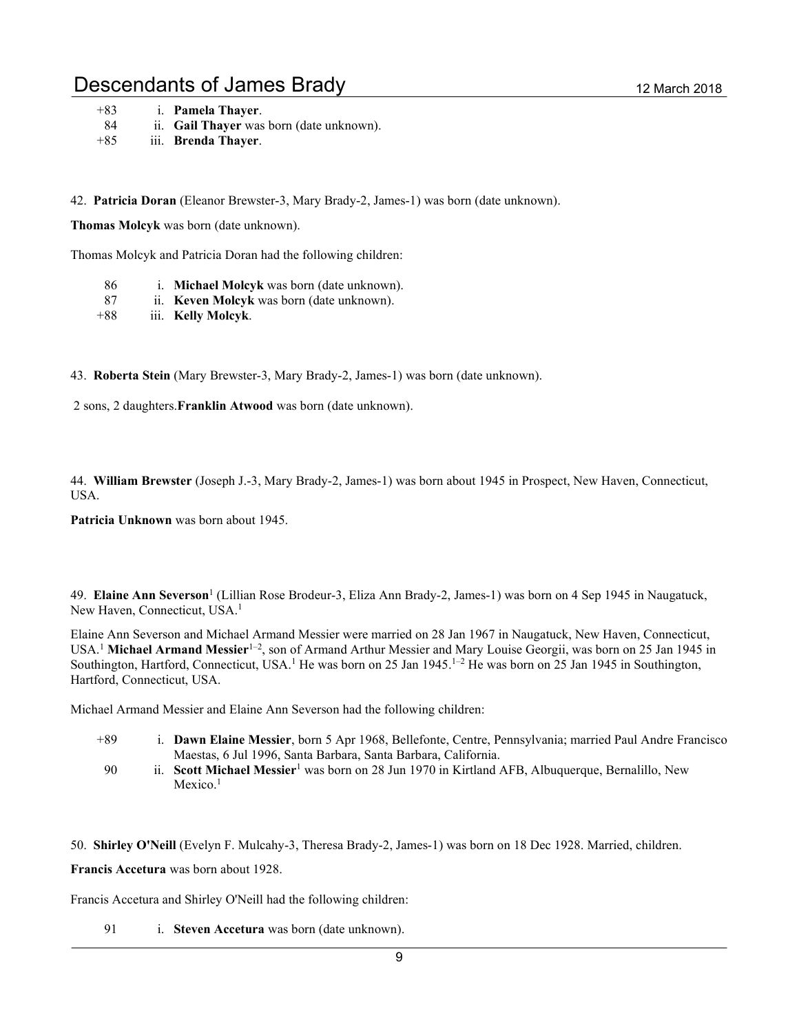- +83 i. Pamela Thayer.
- 84 ii. Gail Thayer was born (date unknown).
- +85 iii. Brenda Thayer.
- 42. Patricia Doran (Eleanor Brewster-3, Mary Brady-2, James-1) was born (date unknown).

Thomas Molcyk was born (date unknown).

Thomas Molcyk and Patricia Doran had the following children:

- 86 i. Michael Molcyk was born (date unknown).
- 87 ii. Keven Molcyk was born (date unknown).
- +88 iii. Kelly Molcyk.

43. Roberta Stein (Mary Brewster-3, Mary Brady-2, James-1) was born (date unknown).

2 sons, 2 daughters.Franklin Atwood was born (date unknown).

44. William Brewster (Joseph J.-3, Mary Brady-2, James-1) was born about 1945 in Prospect, New Haven, Connecticut, USA.

Patricia Unknown was born about 1945.

49. Elaine Ann Severson<sup>1</sup> (Lillian Rose Brodeur-3, Eliza Ann Brady-2, James-1) was born on 4 Sep 1945 in Naugatuck, New Haven, Connecticut, USA.<sup>1</sup>

Elaine Ann Severson and Michael Armand Messier were married on 28 Jan 1967 in Naugatuck, New Haven, Connecticut, USA.<sup>1</sup> Michael Armand Messier<sup>1–2</sup>, son of Armand Arthur Messier and Mary Louise Georgii, was born on 25 Jan 1945 in Southington, Hartford, Connecticut, USA.<sup>1</sup> He was born on 25 Jan 1945.<sup>1-2</sup> He was born on 25 Jan 1945 in Southington, Hartford, Connecticut, USA.

Michael Armand Messier and Elaine Ann Severson had the following children:

- +89 i. Dawn Elaine Messier, born 5 Apr 1968, Bellefonte, Centre, Pennsylvania; married Paul Andre Francisco Maestas, 6 Jul 1996, Santa Barbara, Santa Barbara, California.
	- 90 ii. Scott Michael Messier<sup>1</sup> was born on 28 Jun 1970 in Kirtland AFB, Albuquerque, Bernalillo, New Mexico.<sup>1</sup>

50. Shirley O'Neill (Evelyn F. Mulcahy-3, Theresa Brady-2, James-1) was born on 18 Dec 1928. Married, children.

Francis Accetura was born about 1928.

Francis Accetura and Shirley O'Neill had the following children:

91 i. Steven Accetura was born (date unknown).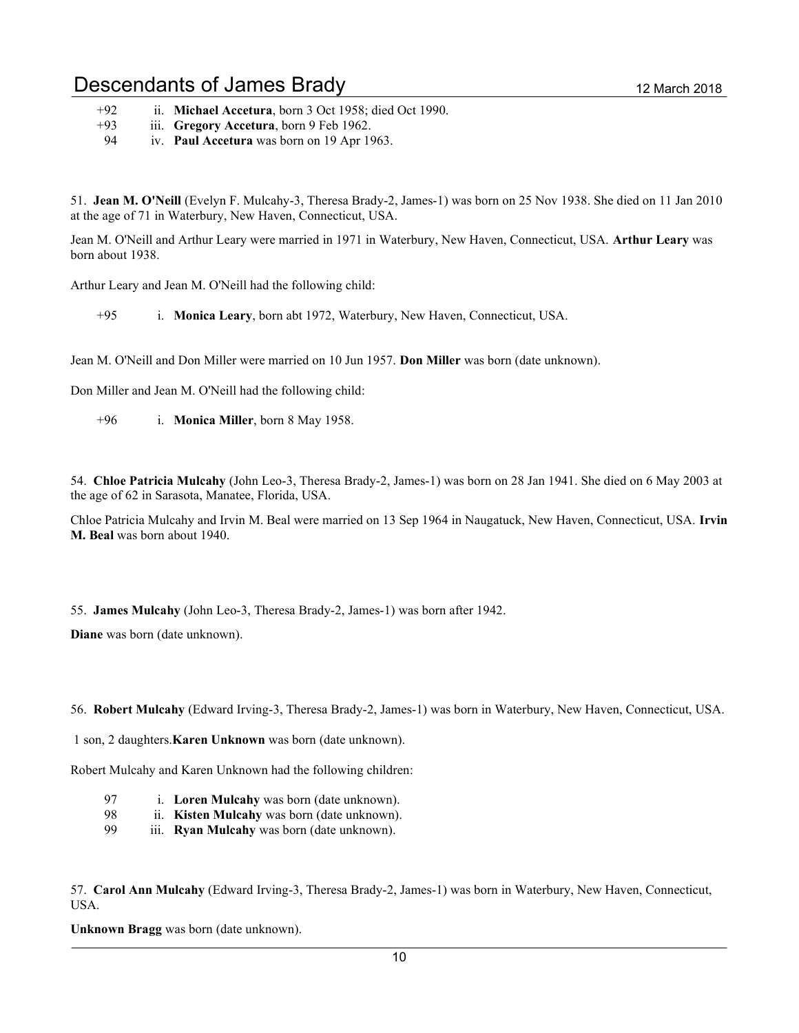+92 ii. Michael Accetura, born 3 Oct 1958; died Oct 1990.

- +93 iii. Gregory Accetura, born 9 Feb 1962.
- 94 iv. Paul Accetura was born on 19 Apr 1963.

51. Jean M. O'Neill (Evelyn F. Mulcahy-3, Theresa Brady-2, James-1) was born on 25 Nov 1938. She died on 11 Jan 2010 at the age of 71 in Waterbury, New Haven, Connecticut, USA.

Jean M. O'Neill and Arthur Leary were married in 1971 in Waterbury, New Haven, Connecticut, USA. Arthur Leary was born about 1938.

Arthur Leary and Jean M. O'Neill had the following child:

+95 i. Monica Leary, born abt 1972, Waterbury, New Haven, Connecticut, USA.

Jean M. O'Neill and Don Miller were married on 10 Jun 1957. Don Miller was born (date unknown).

Don Miller and Jean M. O'Neill had the following child:

+96 i. Monica Miller, born 8 May 1958.

54. Chloe Patricia Mulcahy (John Leo-3, Theresa Brady-2, James-1) was born on 28 Jan 1941. She died on 6 May 2003 at the age of 62 in Sarasota, Manatee, Florida, USA.

Chloe Patricia Mulcahy and Irvin M. Beal were married on 13 Sep 1964 in Naugatuck, New Haven, Connecticut, USA. Irvin M. Beal was born about 1940.

55. James Mulcahy (John Leo-3, Theresa Brady-2, James-1) was born after 1942.

Diane was born (date unknown).

56. Robert Mulcahy (Edward Irving-3, Theresa Brady-2, James-1) was born in Waterbury, New Haven, Connecticut, USA.

1 son, 2 daughters.Karen Unknown was born (date unknown).

Robert Mulcahy and Karen Unknown had the following children:

- 97 i. Loren Mulcahy was born (date unknown).
- 98 ii. Kisten Mulcahy was born (date unknown).
- 99 iii. Ryan Mulcahy was born (date unknown).

57. Carol Ann Mulcahy (Edward Irving-3, Theresa Brady-2, James-1) was born in Waterbury, New Haven, Connecticut, USA.

Unknown Bragg was born (date unknown).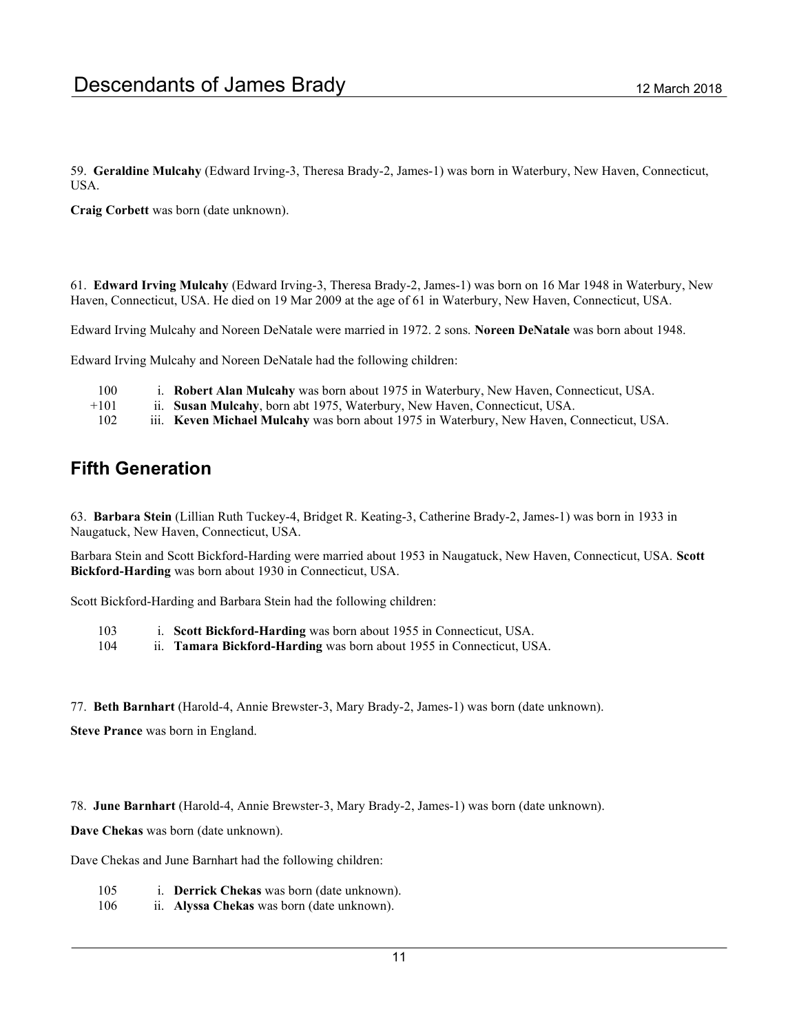59. Geraldine Mulcahy (Edward Irving-3, Theresa Brady-2, James-1) was born in Waterbury, New Haven, Connecticut, USA.

Craig Corbett was born (date unknown).

61. Edward Irving Mulcahy (Edward Irving-3, Theresa Brady-2, James-1) was born on 16 Mar 1948 in Waterbury, New Haven, Connecticut, USA. He died on 19 Mar 2009 at the age of 61 in Waterbury, New Haven, Connecticut, USA.

Edward Irving Mulcahy and Noreen DeNatale were married in 1972. 2 sons. Noreen DeNatale was born about 1948.

Edward Irving Mulcahy and Noreen DeNatale had the following children:

| 100          | i. Robert Alan Mulcahy was born about 1975 in Waterbury, New Haven, Connecticut, USA.                                                                                                                                                                                                                                                                       |
|--------------|-------------------------------------------------------------------------------------------------------------------------------------------------------------------------------------------------------------------------------------------------------------------------------------------------------------------------------------------------------------|
| $1 \wedge 1$ | $\mathcal{L}$ $\mathcal{L}$ $\mathcal{L}$ $\mathcal{L}$ $\mathcal{L}$ $\mathcal{L}$ $\mathcal{L}$ $\mathcal{L}$ $\mathcal{L}$ $\mathcal{L}$ $\mathcal{L}$ $\mathcal{L}$ $\mathcal{L}$ $\mathcal{L}$ $\mathcal{L}$ $\mathcal{L}$ $\mathcal{L}$ $\mathcal{L}$ $\mathcal{L}$ $\mathcal{L}$ $\mathcal{L}$ $\mathcal{L}$ $\mathcal{L}$ $\mathcal{L}$ $\mathcal{$ |

- +101 ii. Susan Mulcahy, born abt 1975, Waterbury, New Haven, Connecticut, USA.
- 102 iii. Keven Michael Mulcahy was born about 1975 in Waterbury, New Haven, Connecticut, USA.

#### Fifth Generation

63. Barbara Stein (Lillian Ruth Tuckey-4, Bridget R. Keating-3, Catherine Brady-2, James-1) was born in 1933 in Naugatuck, New Haven, Connecticut, USA.

Barbara Stein and Scott Bickford-Harding were married about 1953 in Naugatuck, New Haven, Connecticut, USA. Scott Bickford-Harding was born about 1930 in Connecticut, USA.

Scott Bickford-Harding and Barbara Stein had the following children:

- 103 i. Scott Bickford-Harding was born about 1955 in Connecticut, USA.<br>104 ii. Tamara Bickford-Harding was born about 1955 in Connecticut, US
- ii. Tamara Bickford-Harding was born about 1955 in Connecticut, USA.

77. Beth Barnhart (Harold-4, Annie Brewster-3, Mary Brady-2, James-1) was born (date unknown).

Steve Prance was born in England.

78. June Barnhart (Harold-4, Annie Brewster-3, Mary Brady-2, James-1) was born (date unknown).

Dave Chekas was born (date unknown).

Dave Chekas and June Barnhart had the following children:

- 105 i. Derrick Chekas was born (date unknown).
- 106 ii. Alyssa Chekas was born (date unknown).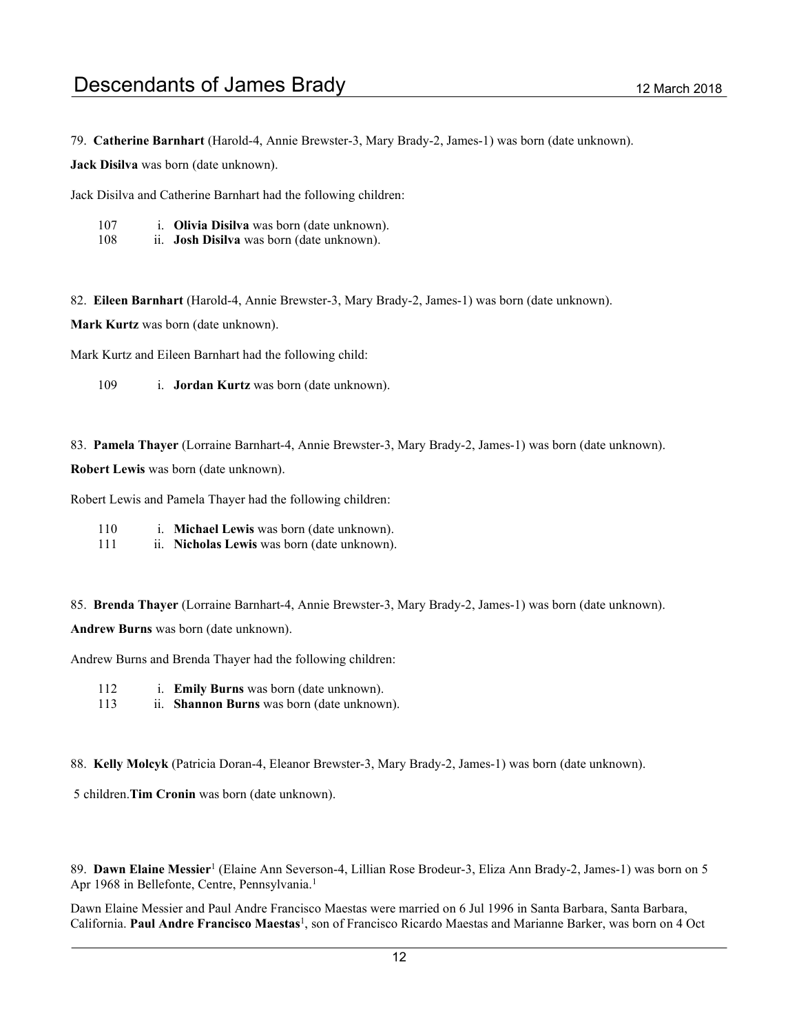79. Catherine Barnhart (Harold-4, Annie Brewster-3, Mary Brady-2, James-1) was born (date unknown).

Jack Disilva was born (date unknown).

Jack Disilva and Catherine Barnhart had the following children:

| 107 |  | i. Olivia Disilva was born (date unknown). |
|-----|--|--------------------------------------------|
|     |  |                                            |

108 ii. Josh Disilva was born (date unknown).

82. Eileen Barnhart (Harold-4, Annie Brewster-3, Mary Brady-2, James-1) was born (date unknown).

Mark Kurtz was born (date unknown).

Mark Kurtz and Eileen Barnhart had the following child:

109 i. Jordan Kurtz was born (date unknown).

83. Pamela Thayer (Lorraine Barnhart-4, Annie Brewster-3, Mary Brady-2, James-1) was born (date unknown).

Robert Lewis was born (date unknown).

Robert Lewis and Pamela Thayer had the following children:

- 110 i. **Michael Lewis** was born (date unknown).<br>111 ii. **Nicholas Lewis** was born (date unknown)
- ii. Nicholas Lewis was born (date unknown).

85. Brenda Thayer (Lorraine Barnhart-4, Annie Brewster-3, Mary Brady-2, James-1) was born (date unknown).

Andrew Burns was born (date unknown).

Andrew Burns and Brenda Thayer had the following children:

- 112 i. **Emily Burns** was born (date unknown).<br>113 ii. **Shannon Burns** was born (date unknow
- ii. Shannon Burns was born (date unknown).

88. Kelly Molcyk (Patricia Doran-4, Eleanor Brewster-3, Mary Brady-2, James-1) was born (date unknown).

5 children.Tim Cronin was born (date unknown).

89. Dawn Elaine Messier<sup>1</sup> (Elaine Ann Severson-4, Lillian Rose Brodeur-3, Eliza Ann Brady-2, James-1) was born on 5 Apr 1968 in Bellefonte, Centre, Pennsylvania.<sup>1</sup>

Dawn Elaine Messier and Paul Andre Francisco Maestas were married on 6 Jul 1996 in Santa Barbara, Santa Barbara, California. Paul Andre Francisco Maestas<sup>1</sup>, son of Francisco Ricardo Maestas and Marianne Barker, was born on 4 Oct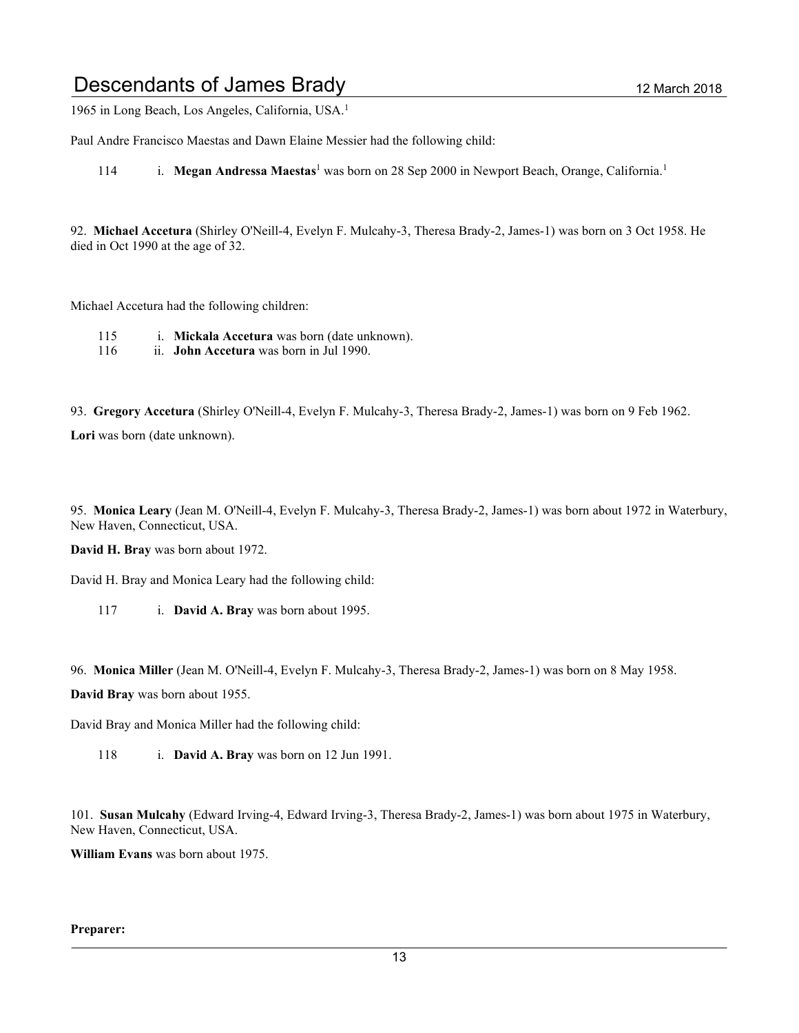1965 in Long Beach, Los Angeles, California, USA.<sup>1</sup>

Paul Andre Francisco Maestas and Dawn Elaine Messier had the following child:

114 i. Megan Andressa Maestas<sup>1</sup> was born on 28 Sep 2000 in Newport Beach, Orange, California.<sup>1</sup>

92. Michael Accetura (Shirley O'Neill-4, Evelyn F. Mulcahy-3, Theresa Brady-2, James-1) was born on 3 Oct 1958. He died in Oct 1990 at the age of 32.

Michael Accetura had the following children:

| 115 | i. Mickala Accetura was born (date unknown).   |
|-----|------------------------------------------------|
| 116 | ii. <b>John Accetura</b> was born in Jul 1990. |

93. Gregory Accetura (Shirley O'Neill-4, Evelyn F. Mulcahy-3, Theresa Brady-2, James-1) was born on 9 Feb 1962.

Lori was born (date unknown).

95. Monica Leary (Jean M. O'Neill-4, Evelyn F. Mulcahy-3, Theresa Brady-2, James-1) was born about 1972 in Waterbury, New Haven, Connecticut, USA.

David H. Bray was born about 1972.

David H. Bray and Monica Leary had the following child:

117 i. **David A. Bray** was born about 1995.

96. Monica Miller (Jean M. O'Neill-4, Evelyn F. Mulcahy-3, Theresa Brady-2, James-1) was born on 8 May 1958.

David Bray was born about 1955.

David Bray and Monica Miller had the following child:

118 i. David A. Bray was born on 12 Jun 1991.

101. Susan Mulcahy (Edward Irving-4, Edward Irving-3, Theresa Brady-2, James-1) was born about 1975 in Waterbury, New Haven, Connecticut, USA.

William Evans was born about 1975.

#### Preparer: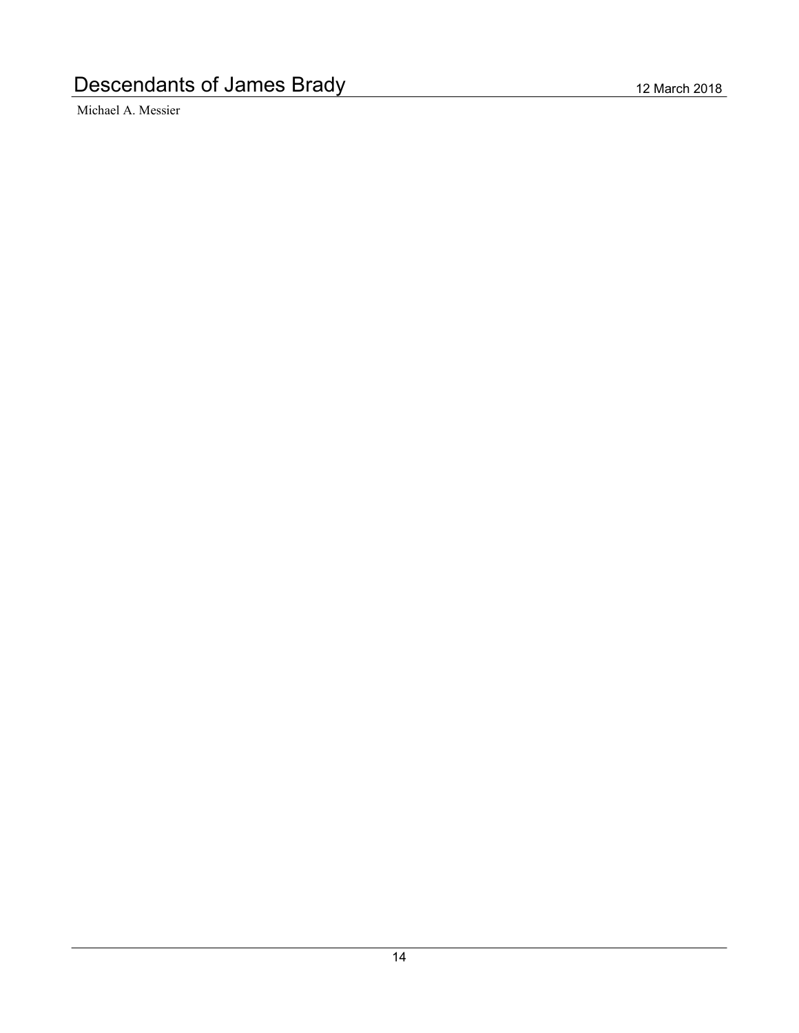Michael A. Messier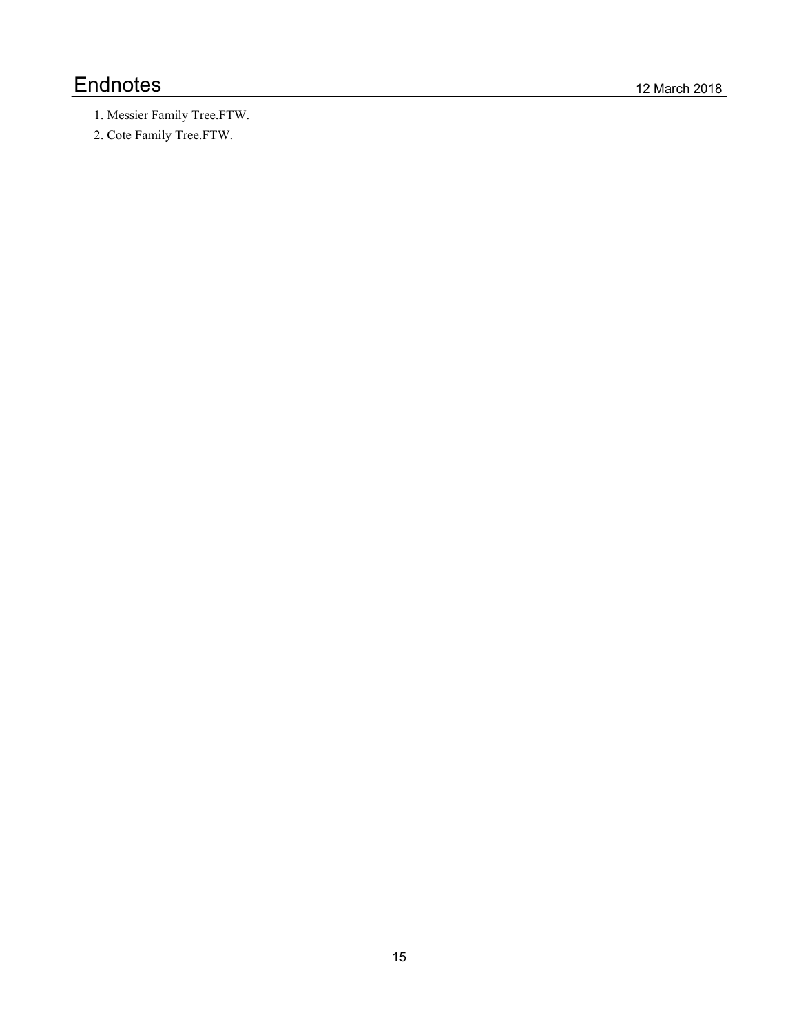# Endnotes 12 March 2018

- 1. Messier Family Tree.FTW.
- 2. Cote Family Tree.FTW.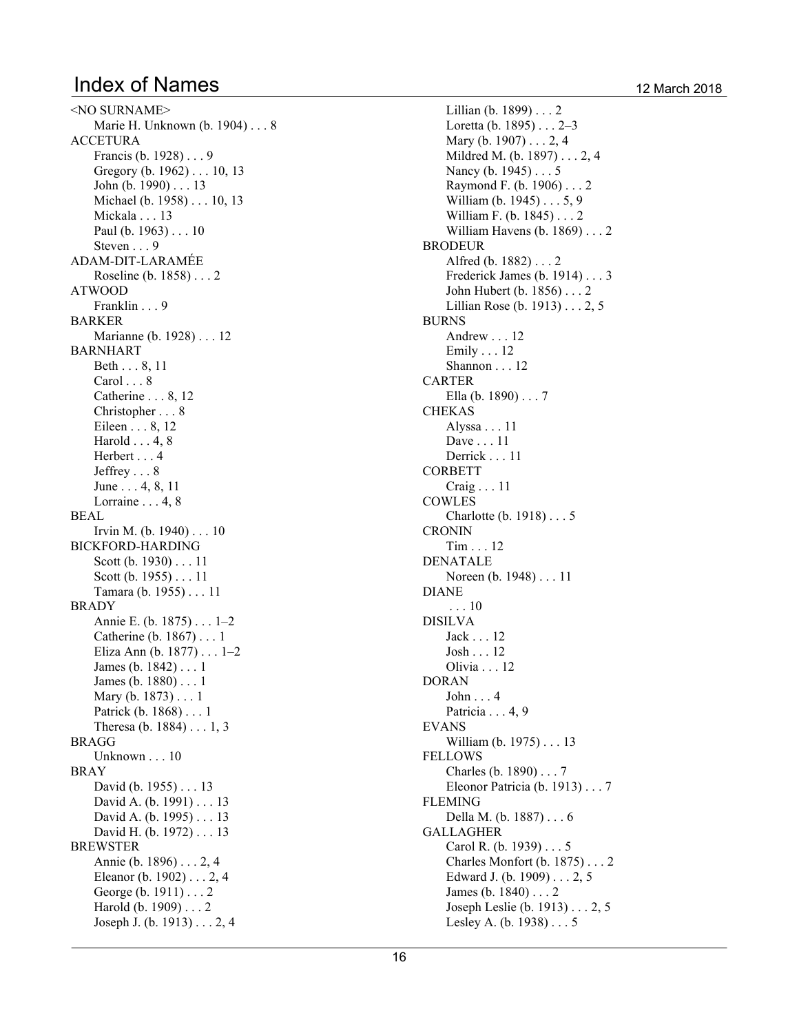#### Index of Names 12 March 2018

<NO SURNAME> Marie H. Unknown (b. 1904) . . . 8 ACCETURA Francis (b. 1928) . . . 9 Gregory (b.  $1962$ )  $\dots$  10, 13 John (b. 1990) . . . 13 Michael (b. 1958) . . . 10, 13 Mickala . . . 13 Paul (b. 1963) . . . 10 Steven . . . 9 ADAM-DIT-LARAMÉE Roseline (b. 1858) . . . 2 ATWOOD Franklin . . . 9 BARKER Marianne (b. 1928) . . . 12 BARNHART Beth  $\ldots$  8, 11 Carol . . . 8 Catherine  $\ldots$  8, 12 Christopher . . . 8 Eileen  $\ldots$  8, 12 Harold  $\ldots$  4.8 Herbert . . . 4 Jeffrey . . . 8 June . . . 4, 8, 11 Lorraine  $\ldots$  4, 8 BEAL Irvin M. (b. 1940) . . . 10 BICKFORD-HARDING Scott (b. 1930) . . . 11 Scott (b. 1955) . . . 11 Tamara (b. 1955) . . . 11 BRADY Annie E. (b. 1875)  $\dots$  1–2 Catherine (b. 1867) . . . 1 Eliza Ann (b. 1877)  $\dots$  1-2 James (b. 1842) . . . 1 James (b. 1880) . . . 1 Mary (b. 1873) . . . 1 Patrick (b. 1868) . . . 1 Theresa (b. 1884)  $\dots$  1, 3 BRAGG Unknown . . . 10 BRAY David (b. 1955) . . . 13 David A. (b. 1991) . . . 13 David A. (b. 1995) . . . 13 David H. (b. 1972) . . . 13 BREWSTER Annie (b. 1896) . . . 2, 4 Eleanor (b. 1902)  $\dots$  2, 4 George (b. 1911) . . . 2 Harold (b. 1909) . . . 2 Joseph J. (b. 1913)  $\dots$  2, 4

Lillian (b. 1899) . . . 2 Loretta (b. 1895)  $\dots$  2-3 Mary (b. 1907)  $\dots$  2, 4 Mildred M. (b. 1897)  $\dots$  2, 4 Nancy (b. 1945) . . . 5 Raymond F. (b. 1906) . . . 2 William (b. 1945) . . . 5, 9 William F. (b. 1845) . . . 2 William Havens (b. 1869) . . . 2 BRODEUR Alfred (b. 1882) . . . 2 Frederick James (b. 1914) . . . 3 John Hubert (b. 1856) . . . 2 Lillian Rose (b. 1913)  $\dots$  2, 5 BURNS Andrew . . . 12 Emily . . . 12 Shannon . . . 12 CARTER Ella (b. 1890) . . . 7 CHEKAS Alyssa . . . 11 Dave . . . 11 Derrick . . . 11 CORBETT Craig . . . 11 COWLES Charlotte (b. 1918) . . . 5 CRONIN Tim . . . 12 DENATALE Noreen (b. 1948) . . . 11 DIANE . . . 10 DISILVA Jack . . . 12 Josh . . . 12 Olivia . . . 12 DORAN John . . . 4 Patricia  $\ldots$  4, 9 EVANS William (b. 1975) . . . 13 FELLOWS Charles (b. 1890) . . . 7 Eleonor Patricia (b. 1913) . . . 7 FLEMING Della M. (b. 1887) . . . 6 GALLAGHER Carol R. (b. 1939) . . . 5 Charles Monfort (b. 1875) . . . 2 Edward J. (b. 1909)  $\dots$  2, 5 James (b. 1840) . . . 2 Joseph Leslie (b. 1913)  $\dots$  2, 5 Lesley A. (b. 1938) . . . 5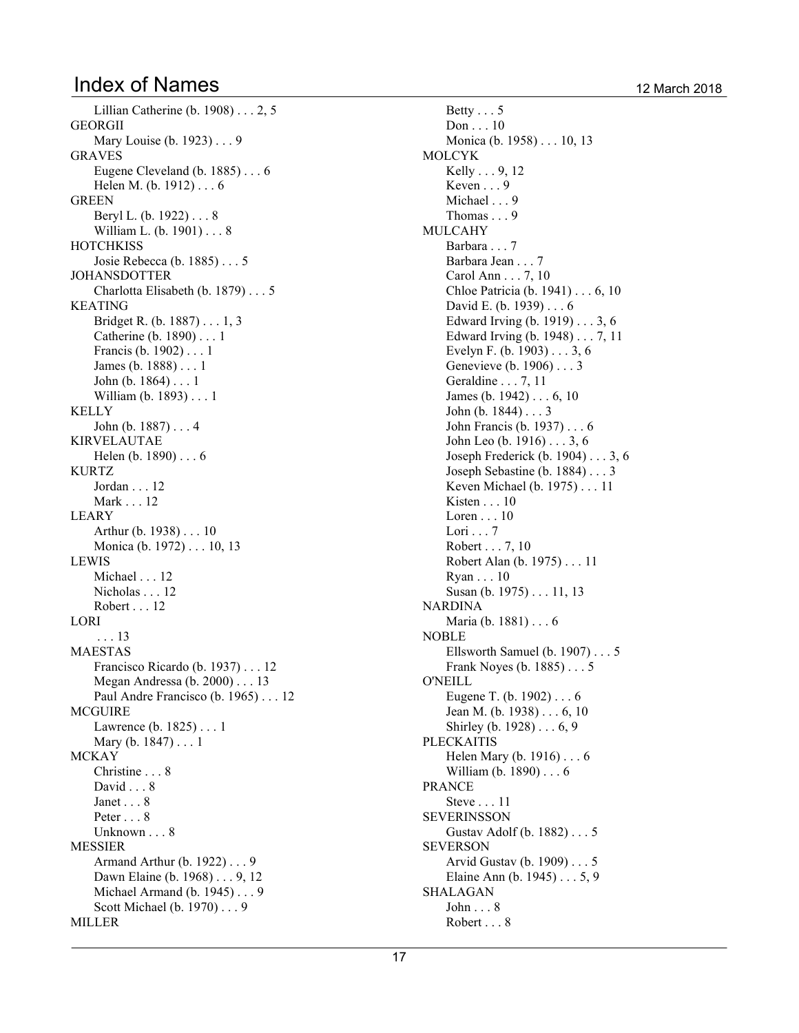#### Index of Names 12 March 2018

Lillian Catherine (b.  $1908$ ) . . . 2, 5 GEORGII Mary Louise (b. 1923) . . . 9 GRAVES Eugene Cleveland (b. 1885) . . . 6 Helen M. (b. 1912) . . . 6 GREEN Beryl L. (b. 1922) . . . 8 William L. (b. 1901) . . . 8 **HOTCHKISS** Josie Rebecca (b. 1885) . . . 5 **JOHANSDOTTER** Charlotta Elisabeth (b. 1879) . . . 5 KEATING Bridget R. (b. 1887) . . . 1, 3 Catherine (b. 1890) . . . 1 Francis (b. 1902) . . . 1 James (b. 1888) . . . 1 John (b. 1864) . . . 1 William (b. 1893) . . . 1 KELLY John (b. 1887) . . . 4 KIRVELAUTAE Helen (b. 1890) . . . 6 KURTZ Jordan . . . 12 Mark . . . 12 LEARY Arthur (b. 1938) . . . 10 Monica (b. 1972) . . . 10, 13 LEWIS Michael . . . 12 Nicholas . . . 12 Robert . . . 12 LORI . . . 13 MAESTAS Francisco Ricardo (b. 1937) . . . 12 Megan Andressa (b. 2000) . . . 13 Paul Andre Francisco (b. 1965) . . . 12 MCGUIRE Lawrence (b. 1825) . . . 1 Mary (b. 1847) . . . 1 MCKAY Christine . . . 8 David . . . 8 Janet . . . 8 Peter . . . 8 Unknown . . . 8 MESSIER Armand Arthur (b. 1922) . . . 9 Dawn Elaine (b. 1968) . . . 9, 12 Michael Armand (b. 1945) . . . 9 Scott Michael (b. 1970) . . . 9 MILLER

Betty . . . 5 Don . . . 10 Monica (b. 1958) . . . 10, 13 MOLCYK Kelly  $\ldots$  9, 12 Keven . . . 9 Michael . . . 9 Thomas . . . 9 MULCAHY Barbara . . . 7 Barbara Jean . . . 7 Carol Ann . . . 7, 10 Chloe Patricia (b. 1941) . . . 6, 10 David E. (b. 1939) . . . 6 Edward Irving  $(b. 1919) \ldots 3, 6$ Edward Irving  $(b. 1948) \ldots 7, 11$ Evelyn F. (b. 1903)  $\dots$  3, 6 Genevieve (b. 1906) . . . 3 Geraldine  $\ldots$  7, 11 James (b. 1942)  $\dots$  6, 10 John (b. 1844) . . . 3 John Francis (b. 1937) . . . 6 John Leo (b. 1916)  $\dots$  3, 6 Joseph Frederick (b. 1904)  $\ldots$  3, 6 Joseph Sebastine (b. 1884) . . . 3 Keven Michael (b. 1975) . . . 11 Kisten . . . 10 Loren . . . 10 Lori . . . 7 Robert . . . 7, 10 Robert Alan (b. 1975) . . . 11 Ryan . . . 10 Susan (b. 1975)  $\dots$  11, 13 NARDINA Maria (b. 1881) . . . 6 NOBLE Ellsworth Samuel (b. 1907) . . . 5 Frank Noyes (b. 1885) . . . 5 O'NEILL Eugene T. (b. 1902) . . . 6 Jean M. (b. 1938)  $\dots$  6, 10 Shirley (b.  $1928$ )  $...$  6, 9 PLECKAITIS Helen Mary (b. 1916) . . . 6 William (b. 1890) . . . 6 PRANCE Steve . . . 11 SEVERINSSON Gustav Adolf (b. 1882) . . . 5 SEVERSON Arvid Gustav (b. 1909) . . . 5 Elaine Ann (b. 1945)  $\dots$  5, 9 SHALAGAN John . . . 8 Robert . . . 8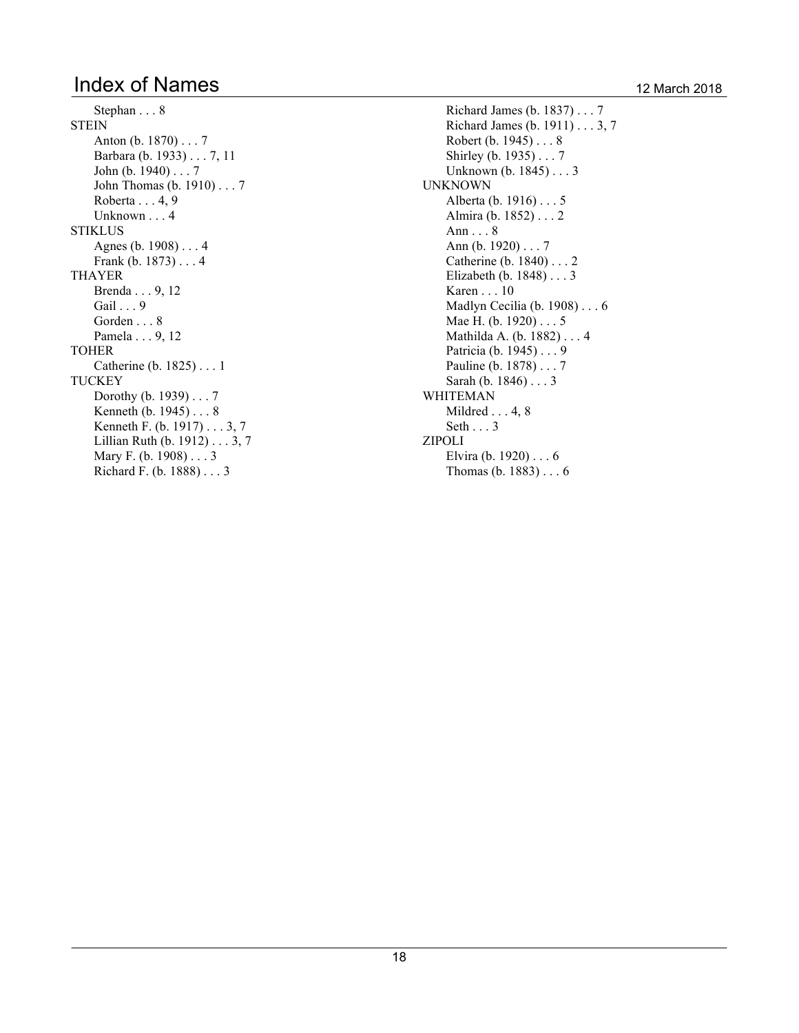# Index of Names 12 March 2018

Stephan . . . 8 **STEIN** Anton (b. 1870) . . . 7 Barbara (b. 1933) . . . 7, 11 John (b. 1940) . . . 7 John Thomas (b. 1910) . . . 7 Roberta . . . 4, 9 Unknown . . . 4 STIKLUS Agnes (b. 1908) . . . 4 Frank (b. 1873) . . . 4 THAYER Brenda . . . 9, 12 Gail  $\ldots$  9 Gorden . . . 8 Pamela . . . 9, 12 TOHER Catherine (b. 1825) . . . 1 TUCKEY Dorothy (b. 1939) . . . 7 Kenneth (b. 1945) . . . 8 Kenneth F. (b. 1917)  $\dots$  3, 7 Lillian Ruth (b. 1912)  $\ldots$  3, 7 Mary F. (b. 1908) . . . 3 Richard F. (b. 1888) . . . 3

Richard James (b. 1837) . . . 7 Richard James (b. 1911) . . . 3, 7 Robert (b. 1945) . . . 8 Shirley (b. 1935) . . . 7 Unknown (b. 1845) . . . 3 UNKNOWN Alberta (b. 1916) . . . 5 Almira (b. 1852) . . . 2 Ann . . . 8 Ann (b. 1920) . . . 7 Catherine (b. 1840) . . . 2 Elizabeth (b. 1848) . . . 3 Karen . . . 10 Madlyn Cecilia (b. 1908) . . . 6 Mae H. (b. 1920) . . . 5 Mathilda A. (b. 1882) . . . 4 Patricia (b. 1945) . . . 9 Pauline (b. 1878) . . . 7 Sarah (b. 1846) . . . 3 WHITEMAN Mildred  $\ldots$  4, 8 Seth . . . 3 ZIPOLI Elvira (b. 1920) . . . 6 Thomas (b. 1883) . . . 6